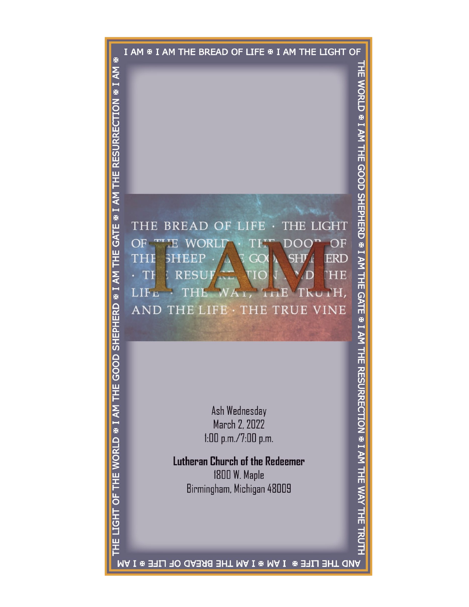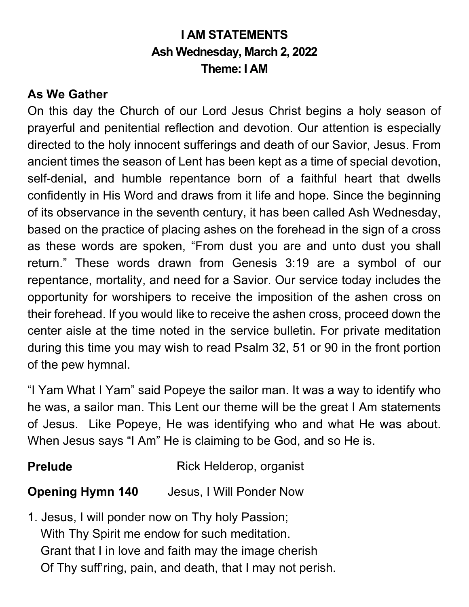# **I AM STATEMENTS Ash Wednesday, March 2, 2022 Theme: I AM**

#### **As We Gather**

On this day the Church of our Lord Jesus Christ begins a holy season of prayerful and penitential reflection and devotion. Our attention is especially directed to the holy innocent sufferings and death of our Savior, Jesus. From ancient times the season of Lent has been kept as a time of special devotion, self-denial, and humble repentance born of a faithful heart that dwells confidently in His Word and draws from it life and hope. Since the beginning of its observance in the seventh century, it has been called Ash Wednesday, based on the practice of placing ashes on the forehead in the sign of a cross as these words are spoken, "From dust you are and unto dust you shall return." These words drawn from Genesis 3:19 are a symbol of our repentance, mortality, and need for a Savior. Our service today includes the opportunity for worshipers to receive the imposition of the ashen cross on their forehead. If you would like to receive the ashen cross, proceed down the center aisle at the time noted in the service bulletin. For private meditation during this time you may wish to read Psalm 32, 51 or 90 in the front portion of the pew hymnal.

"I Yam What I Yam" said Popeye the sailor man. It was a way to identify who he was, a sailor man. This Lent our theme will be the great I Am statements of Jesus. Like Popeye, He was identifying who and what He was about. When Jesus says "I Am" He is claiming to be God, and so He is.

# **Prelude** Rick Helderop, organist

#### **Opening Hymn 140** Jesus, I Will Ponder Now

1. Jesus, I will ponder now on Thy holy Passion; With Thy Spirit me endow for such meditation. Grant that I in love and faith may the image cherish Of Thy suff'ring, pain, and death, that I may not perish.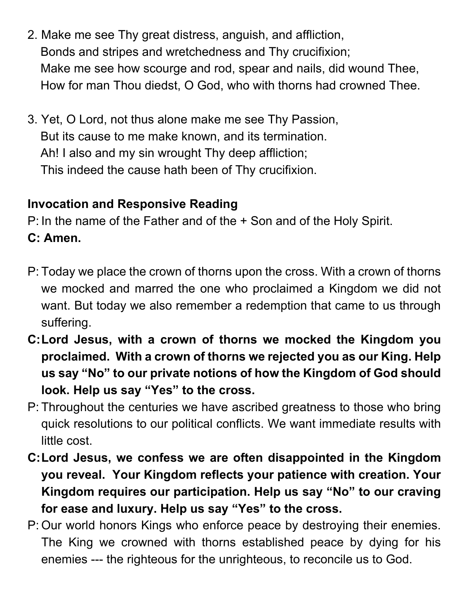- 2. Make me see Thy great distress, anguish, and affliction, Bonds and stripes and wretchedness and Thy crucifixion; Make me see how scourge and rod, spear and nails, did wound Thee, How for man Thou diedst, O God, who with thorns had crowned Thee.
- 3. Yet, O Lord, not thus alone make me see Thy Passion, But its cause to me make known, and its termination. Ah! I also and my sin wrought Thy deep affliction; This indeed the cause hath been of Thy crucifixion.

#### **Invocation and Responsive Reading**

P: In the name of the Father and of the + Son and of the Holy Spirit.

# **C: Amen.**

- P: Today we place the crown of thorns upon the cross. With a crown of thorns we mocked and marred the one who proclaimed a Kingdom we did not want. But today we also remember a redemption that came to us through suffering.
- **C:Lord Jesus, with a crown of thorns we mocked the Kingdom you proclaimed. With a crown of thorns we rejected you as our King. Help us say "No" to our private notions of how the Kingdom of God should look. Help us say "Yes" to the cross.**
- P: Throughout the centuries we have ascribed greatness to those who bring quick resolutions to our political conflicts. We want immediate results with little cost.
- **C:Lord Jesus, we confess we are often disappointed in the Kingdom you reveal. Your Kingdom reflects your patience with creation. Your Kingdom requires our participation. Help us say "No" to our craving for ease and luxury. Help us say "Yes" to the cross.**
- P: Our world honors Kings who enforce peace by destroying their enemies. The King we crowned with thorns established peace by dying for his enemies --- the righteous for the unrighteous, to reconcile us to God.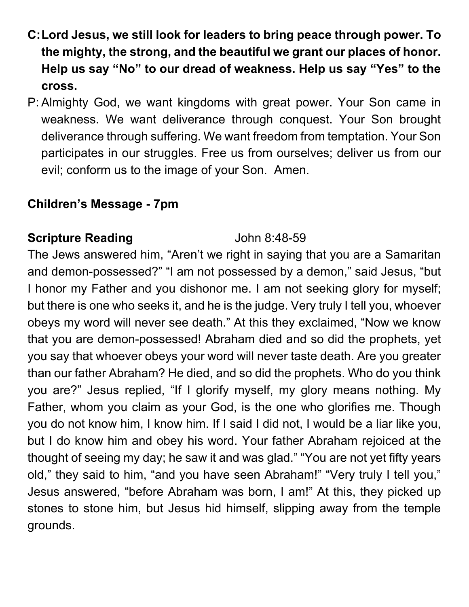- **C:Lord Jesus, we still look for leaders to bring peace through power. To the mighty, the strong, and the beautiful we grant our places of honor. Help us say "No" to our dread of weakness. Help us say "Yes" to the cross.**
- P: Almighty God, we want kingdoms with great power. Your Son came in weakness. We want deliverance through conquest. Your Son brought deliverance through suffering. We want freedom from temptation. Your Son participates in our struggles. Free us from ourselves; deliver us from our evil; conform us to the image of your Son. Amen.

#### **Children's Message - 7pm**

# **Scripture Reading** John 8:48-59

The Jews answered him, "Aren't we right in saying that you are a Samaritan and demon-possessed?" "I am not possessed by a demon," said Jesus, "but I honor my Father and you dishonor me. I am not seeking glory for myself; but there is one who seeks it, and he is the judge. Very truly I tell you, whoever obeys my word will never see death." At this they exclaimed, "Now we know that you are demon-possessed! Abraham died and so did the prophets, yet you say that whoever obeys your word will never taste death. Are you greater than our father Abraham? He died, and so did the prophets. Who do you think you are?" Jesus replied, "If I glorify myself, my glory means nothing. My Father, whom you claim as your God, is the one who glorifies me. Though you do not know him, I know him. If I said I did not, I would be a liar like you, but I do know him and obey his word. Your father Abraham rejoiced at the thought of seeing my day; he saw it and was glad." "You are not yet fifty years old," they said to him, "and you have seen Abraham!" "Very truly I tell you," Jesus answered, "before Abraham was born, I am!" At this, they picked up stones to stone him, but Jesus hid himself, slipping away from the temple grounds.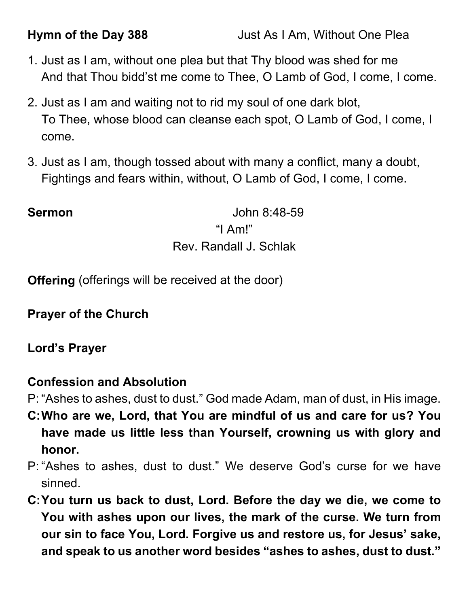- 1. Just as I am, without one plea but that Thy blood was shed for me And that Thou bidd'st me come to Thee, O Lamb of God, I come, I come.
- 2. Just as I am and waiting not to rid my soul of one dark blot, To Thee, whose blood can cleanse each spot, O Lamb of God, I come, I come.
- 3. Just as I am, though tossed about with many a conflict, many a doubt, Fightings and fears within, without, O Lamb of God, I come, I come.

**Sermon** John 8:48-59 "I Am!" Rev. Randall J. Schlak

**Offering** (offerings will be received at the door)

**Prayer of the Church**

**Lord's Prayer**

# **Confession and Absolution**

P: "Ashes to ashes, dust to dust." God made Adam, man of dust, in His image.

- **C:Who are we, Lord, that You are mindful of us and care for us? You have made us little less than Yourself, crowning us with glory and honor.**
- P: "Ashes to ashes, dust to dust." We deserve God's curse for we have sinned.
- **C:You turn us back to dust, Lord. Before the day we die, we come to You with ashes upon our lives, the mark of the curse. We turn from our sin to face You, Lord. Forgive us and restore us, for Jesus' sake, and speak to us another word besides "ashes to ashes, dust to dust."**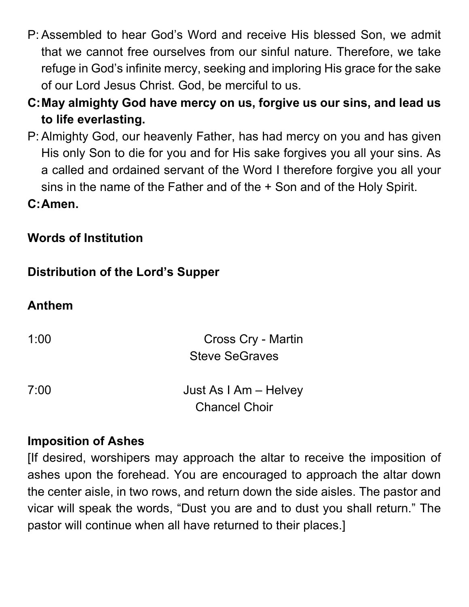- P: Assembled to hear God's Word and receive His blessed Son, we admit that we cannot free ourselves from our sinful nature. Therefore, we take refuge in God's infinite mercy, seeking and imploring His grace for the sake of our Lord Jesus Christ. God, be merciful to us.
- **C:May almighty God have mercy on us, forgive us our sins, and lead us to life everlasting.**
- P: Almighty God, our heavenly Father, has had mercy on you and has given His only Son to die for you and for His sake forgives you all your sins. As a called and ordained servant of the Word I therefore forgive you all your sins in the name of the Father and of the + Son and of the Holy Spirit.

**C:Amen.** 

### **Words of Institution**

### **Distribution of the Lord's Supper**

#### **Anthem**

| 1:00 | Cross Cry - Martin<br><b>Steve SeGraves</b>   |
|------|-----------------------------------------------|
| 7:00 | Just As I Am – Helvey<br><b>Chancel Choir</b> |

#### **Imposition of Ashes**

[If desired, worshipers may approach the altar to receive the imposition of ashes upon the forehead. You are encouraged to approach the altar down the center aisle, in two rows, and return down the side aisles. The pastor and vicar will speak the words, "Dust you are and to dust you shall return." The pastor will continue when all have returned to their places.]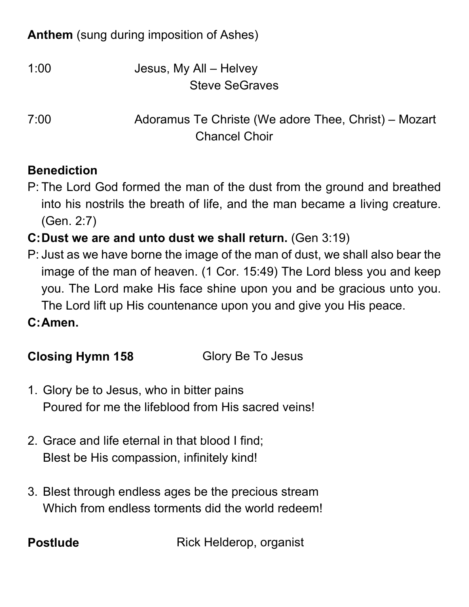# **Anthem** (sung during imposition of Ashes)

| 1:00 | Jesus, My All - Helvey |
|------|------------------------|
|      | <b>Steve SeGraves</b>  |

7:00 Adoramus Te Christe (We adore Thee, Christ) – Mozart Chancel Choir

### **Benediction**

- P: The Lord God formed the man of the dust from the ground and breathed into his nostrils the breath of life, and the man became a living creature. (Gen. 2:7)
- **C:Dust we are and unto dust we shall return.** (Gen 3:19)
- P: Just as we have borne the image of the man of dust, we shall also bear the image of the man of heaven. (1 Cor. 15:49) The Lord bless you and keep you. The Lord make His face shine upon you and be gracious unto you. The Lord lift up His countenance upon you and give you His peace.
- **C:Amen.**

# **Closing Hymn 158** Glory Be To Jesus

- 1. Glory be to Jesus, who in bitter pains Poured for me the lifeblood from His sacred veins!
- 2. Grace and life eternal in that blood I find; Blest be His compassion, infinitely kind!
- 3. Blest through endless ages be the precious stream Which from endless torments did the world redeem!

**Postlude** Rick Helderop, organist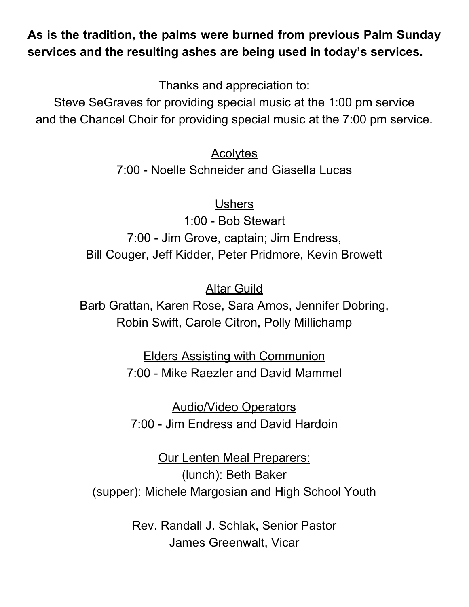### **As is the tradition, the palms were burned from previous Palm Sunday services and the resulting ashes are being used in today's services.**

Thanks and appreciation to:

Steve SeGraves for providing special music at the 1:00 pm service and the Chancel Choir for providing special music at the 7:00 pm service.

Acolytes

7:00 - Noelle Schneider and Giasella Lucas

Ushers

1:00 - Bob Stewart 7:00 - Jim Grove, captain; Jim Endress, Bill Couger, Jeff Kidder, Peter Pridmore, Kevin Browett

**Altar Guild** 

Barb Grattan, Karen Rose, Sara Amos, Jennifer Dobring, Robin Swift, Carole Citron, Polly Millichamp

> Elders Assisting with Communion 7:00 - Mike Raezler and David Mammel

Audio/Video Operators 7:00 - Jim Endress and David Hardoin

Our Lenten Meal Preparers: (lunch): Beth Baker (supper): Michele Margosian and High School Youth

> Rev. Randall J. Schlak, Senior Pastor James Greenwalt, Vicar